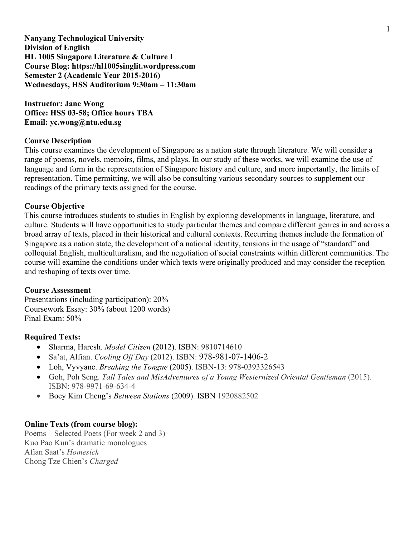**Nanyang Technological University Division of English HL 1005 Singapore Literature & Culture I Course Blog: https://hl1005singlit.wordpress.com Semester 2 (Academic Year 2015-2016) Wednesdays, HSS Auditorium 9:30am – 11:30am**

**Instructor: Jane Wong Office: HSS 03-58; Office hours TBA Email: yc.wong@ntu.edu.sg**

### **Course Description**

This course examines the development of Singapore as a nation state through literature. We will consider a range of poems, novels, memoirs, films, and plays. In our study of these works, we will examine the use of language and form in the representation of Singapore history and culture, and more importantly, the limits of representation. Time permitting, we will also be consulting various secondary sources to supplement our readings of the primary texts assigned for the course.

### **Course Objective**

This course introduces students to studies in English by exploring developments in language, literature, and culture. Students will have opportunities to study particular themes and compare different genres in and across a broad array of texts, placed in their historical and cultural contexts. Recurring themes include the formation of Singapore as a nation state, the development of a national identity, tensions in the usage of "standard" and colloquial English, multiculturalism, and the negotiation of social constraints within different communities. The course will examine the conditions under which texts were originally produced and may consider the reception and reshaping of texts over time.

### **Course Assessment**

Presentations (including participation): 20% Coursework Essay: 30% (about 1200 words) Final Exam: 50%

### **Required Texts:**

- Sharma, Haresh. *Model Citizen* (2012). ISBN: 9810714610
- Sa'at, Alfian. *Cooling Off Day* (2012). ISBN: 978-981-07-1406-2
- Loh, Vyvyane. *Breaking the Tongue* (2005). ISBN-13: 978-0393326543
- Goh, Poh Seng. *Tall Tales and MisAdventures of a Young Westernized Oriental Gentleman* (2015). ISBN: 978-9971-69-634-4
- Boey Kim Cheng's *Between Stations* (2009). ISBN 1920882502

## **Online Texts (from course blog):**

Poems—Selected Poets (For week 2 and 3) Kuo Pao Kun's dramatic monologues Afian Saat's *Homesick* Chong Tze Chien's *Charged*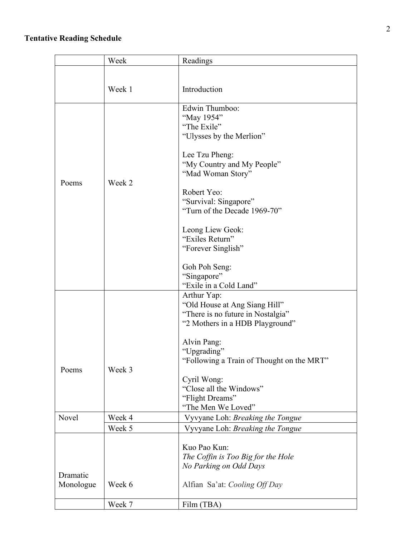# **Tentative Reading Schedule**

|           | Week   | Readings                                  |
|-----------|--------|-------------------------------------------|
|           |        |                                           |
|           |        |                                           |
|           | Week 1 | Introduction                              |
|           |        | Edwin Thumboo:                            |
|           |        | "May 1954"                                |
|           |        | "The Exile"                               |
|           |        |                                           |
|           |        | "Ulysses by the Merlion"                  |
|           |        | Lee Tzu Pheng:                            |
|           |        | "My Country and My People"                |
|           |        | "Mad Woman Story"                         |
| Poems     | Week 2 |                                           |
|           |        | Robert Yeo:                               |
|           |        | "Survival: Singapore"                     |
|           |        | "Turn of the Decade 1969-70"              |
|           |        | Leong Liew Geok:                          |
|           |        | "Exiles Return"                           |
|           |        | "Forever Singlish"                        |
|           |        |                                           |
|           |        | Goh Poh Seng:                             |
|           |        | "Singapore"                               |
|           |        | "Exile in a Cold Land"                    |
|           |        | Arthur Yap:                               |
|           |        | "Old House at Ang Siang Hill"             |
|           |        | "There is no future in Nostalgia"         |
|           |        | "2 Mothers in a HDB Playground"           |
|           |        | Alvin Pang:                               |
|           |        | "Upgrading"                               |
|           |        | 'Following a Train of Thought on the MRT" |
| Poems     | Week 3 |                                           |
|           |        | Cyril Wong:                               |
|           |        | "Close all the Windows"                   |
|           |        | "Flight Dreams"                           |
|           |        | "The Men We Loved"                        |
| Novel     | Week 4 | Vyvyane Loh: Breaking the Tongue          |
|           | Week 5 | Vyvyane Loh: Breaking the Tongue          |
|           |        |                                           |
|           |        | Kuo Pao Kun:                              |
|           |        | The Coffin is Too Big for the Hole        |
|           |        | No Parking on Odd Days                    |
| Dramatic  |        |                                           |
| Monologue | Week 6 | Alfian Sa'at: Cooling Off Day             |
|           |        |                                           |
|           | Week 7 | Film (TBA)                                |